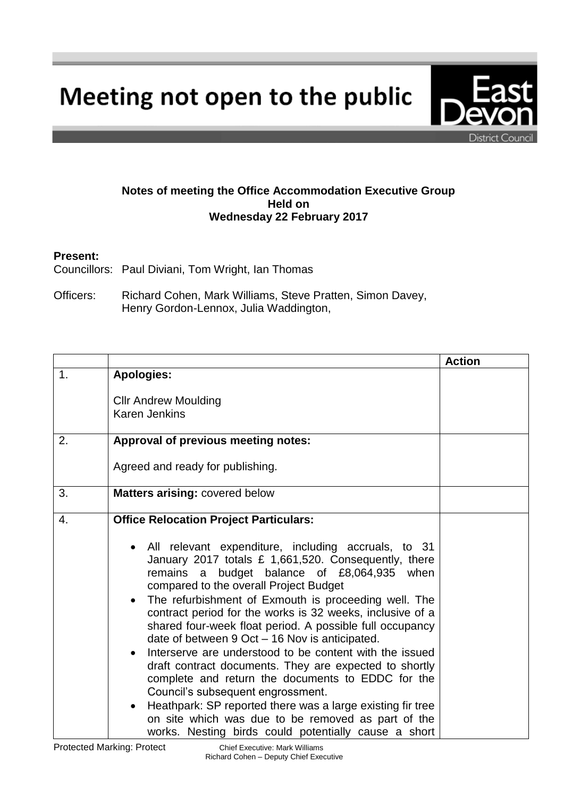Meeting not open to the public

**Notes of meeting the Office Accommodation Executive Group Held on Wednesday 22 February 2017**

## **Present:**

Councillors: Paul Diviani, Tom Wright, Ian Thomas

Officers: Richard Cohen, Mark Williams, Steve Pratten, Simon Davey, Henry Gordon-Lennox, Julia Waddington,

|                |                                                                                                                                                                                                                                                                                                                                                                                                                                                                                                                                                                                                                                                                                                                                                                                                                                                                                                               | <b>Action</b> |
|----------------|---------------------------------------------------------------------------------------------------------------------------------------------------------------------------------------------------------------------------------------------------------------------------------------------------------------------------------------------------------------------------------------------------------------------------------------------------------------------------------------------------------------------------------------------------------------------------------------------------------------------------------------------------------------------------------------------------------------------------------------------------------------------------------------------------------------------------------------------------------------------------------------------------------------|---------------|
| $\mathbf{1}$ . | <b>Apologies:</b>                                                                                                                                                                                                                                                                                                                                                                                                                                                                                                                                                                                                                                                                                                                                                                                                                                                                                             |               |
|                | <b>Cllr Andrew Moulding</b><br><b>Karen Jenkins</b>                                                                                                                                                                                                                                                                                                                                                                                                                                                                                                                                                                                                                                                                                                                                                                                                                                                           |               |
| 2.             | Approval of previous meeting notes:                                                                                                                                                                                                                                                                                                                                                                                                                                                                                                                                                                                                                                                                                                                                                                                                                                                                           |               |
|                | Agreed and ready for publishing.                                                                                                                                                                                                                                                                                                                                                                                                                                                                                                                                                                                                                                                                                                                                                                                                                                                                              |               |
| 3.             | <b>Matters arising: covered below</b>                                                                                                                                                                                                                                                                                                                                                                                                                                                                                                                                                                                                                                                                                                                                                                                                                                                                         |               |
| 4.             | <b>Office Relocation Project Particulars:</b><br>All relevant expenditure, including accruals, to 31<br>January 2017 totals £ 1,661,520. Consequently, there<br>remains a budget balance of £8,064,935 when<br>compared to the overall Project Budget<br>The refurbishment of Exmouth is proceeding well. The<br>$\bullet$<br>contract period for the works is 32 weeks, inclusive of a<br>shared four-week float period. A possible full occupancy<br>date of between 9 Oct – 16 Nov is anticipated.<br>Interserve are understood to be content with the issued<br>draft contract documents. They are expected to shortly<br>complete and return the documents to EDDC for the<br>Council's subsequent engrossment.<br>Heathpark: SP reported there was a large existing fir tree<br>$\bullet$<br>on site which was due to be removed as part of the<br>works. Nesting birds could potentially cause a short |               |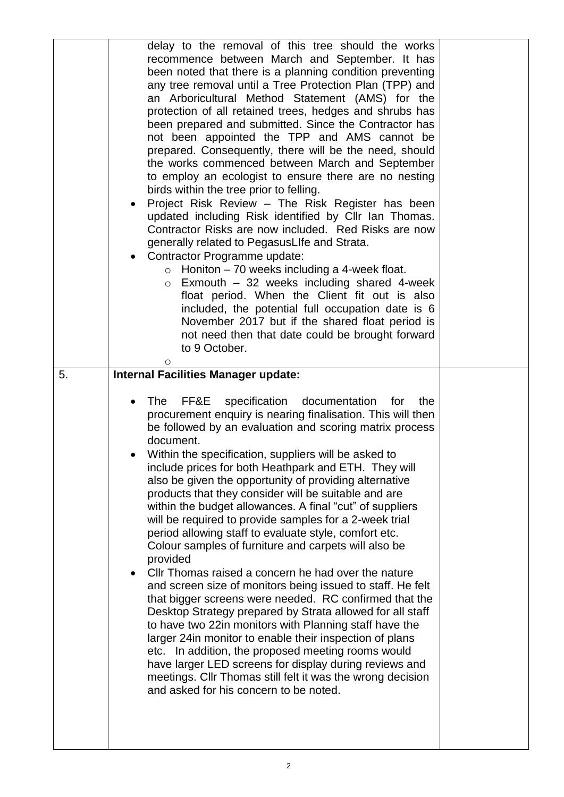| delay to the removal of this tree should the works<br>recommence between March and September. It has<br>been noted that there is a planning condition preventing<br>any tree removal until a Tree Protection Plan (TPP) and<br>an Arboricultural Method Statement (AMS) for the<br>protection of all retained trees, hedges and shrubs has<br>been prepared and submitted. Since the Contractor has<br>not been appointed the TPP and AMS cannot be<br>prepared. Consequently, there will be the need, should<br>the works commenced between March and September<br>to employ an ecologist to ensure there are no nesting<br>birds within the tree prior to felling.<br>Project Risk Review - The Risk Register has been<br>$\bullet$<br>updated including Risk identified by Cllr Ian Thomas.<br>Contractor Risks are now included. Red Risks are now<br>generally related to PegasusLIfe and Strata.<br>Contractor Programme update:<br>$\bullet$<br>$\circ$ Honiton – 70 weeks including a 4-week float.<br>Exmouth - 32 weeks including shared 4-week<br>$\circ$<br>float period. When the Client fit out is also<br>included, the potential full occupation date is 6<br>November 2017 but if the shared float period is<br>not need then that date could be brought forward<br>to 9 October.<br>O |  |
|---------------------------------------------------------------------------------------------------------------------------------------------------------------------------------------------------------------------------------------------------------------------------------------------------------------------------------------------------------------------------------------------------------------------------------------------------------------------------------------------------------------------------------------------------------------------------------------------------------------------------------------------------------------------------------------------------------------------------------------------------------------------------------------------------------------------------------------------------------------------------------------------------------------------------------------------------------------------------------------------------------------------------------------------------------------------------------------------------------------------------------------------------------------------------------------------------------------------------------------------------------------------------------------------------------|--|
| FF&E<br>specification<br><b>The</b><br>documentation<br>for<br>the<br>$\bullet$<br>procurement enquiry is nearing finalisation. This will then<br>be followed by an evaluation and scoring matrix process<br>document.<br>Within the specification, suppliers will be asked to<br>$\bullet$<br>include prices for both Heathpark and ETH. They will<br>also be given the opportunity of providing alternative<br>products that they consider will be suitable and are<br>within the budget allowances. A final "cut" of suppliers<br>will be required to provide samples for a 2-week trial<br>period allowing staff to evaluate style, comfort etc.<br>Colour samples of furniture and carpets will also be<br>provided<br>CIIr Thomas raised a concern he had over the nature<br>$\bullet$<br>and screen size of monitors being issued to staff. He felt<br>that bigger screens were needed. RC confirmed that the<br>Desktop Strategy prepared by Strata allowed for all staff                                                                                                                                                                                                                                                                                                                       |  |
| to have two 22in monitors with Planning staff have the<br>larger 24in monitor to enable their inspection of plans<br>etc. In addition, the proposed meeting rooms would<br>have larger LED screens for display during reviews and<br>meetings. Cllr Thomas still felt it was the wrong decision<br>and asked for his concern to be noted.                                                                                                                                                                                                                                                                                                                                                                                                                                                                                                                                                                                                                                                                                                                                                                                                                                                                                                                                                               |  |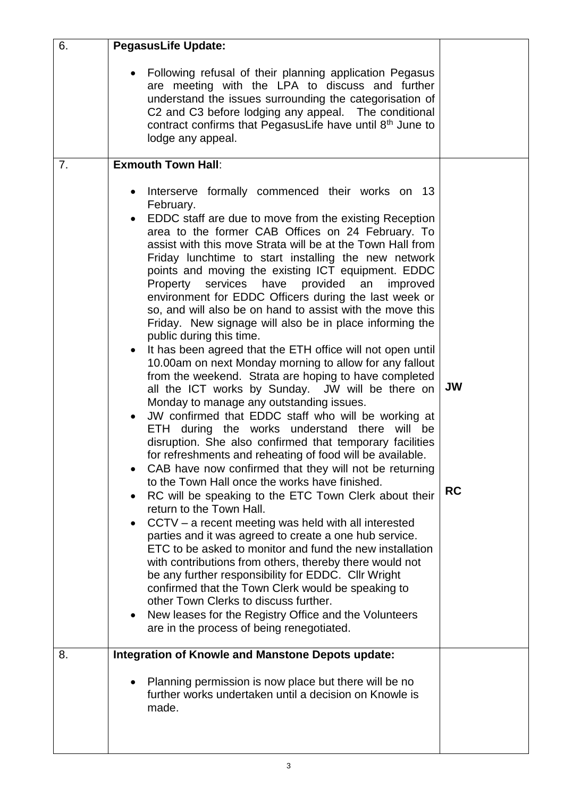| 6. | <b>PegasusLife Update:</b>                                                                                                                                                                                                                                                                                                                                                                                                                                                                                                                                                                                                                                                                                                                                                                                                                                                                                                                                                                                                                                                                                                                                                                                                                                                                                                                                                                                                                                                                                                                                                                                                                                                                                                                                                                                                                                                                                                   |                 |
|----|------------------------------------------------------------------------------------------------------------------------------------------------------------------------------------------------------------------------------------------------------------------------------------------------------------------------------------------------------------------------------------------------------------------------------------------------------------------------------------------------------------------------------------------------------------------------------------------------------------------------------------------------------------------------------------------------------------------------------------------------------------------------------------------------------------------------------------------------------------------------------------------------------------------------------------------------------------------------------------------------------------------------------------------------------------------------------------------------------------------------------------------------------------------------------------------------------------------------------------------------------------------------------------------------------------------------------------------------------------------------------------------------------------------------------------------------------------------------------------------------------------------------------------------------------------------------------------------------------------------------------------------------------------------------------------------------------------------------------------------------------------------------------------------------------------------------------------------------------------------------------------------------------------------------------|-----------------|
|    | Following refusal of their planning application Pegasus<br>$\bullet$<br>are meeting with the LPA to discuss and further<br>understand the issues surrounding the categorisation of<br>C2 and C3 before lodging any appeal. The conditional<br>contract confirms that PegasusLife have until 8th June to<br>lodge any appeal.                                                                                                                                                                                                                                                                                                                                                                                                                                                                                                                                                                                                                                                                                                                                                                                                                                                                                                                                                                                                                                                                                                                                                                                                                                                                                                                                                                                                                                                                                                                                                                                                 |                 |
| 7. | <b>Exmouth Town Hall:</b>                                                                                                                                                                                                                                                                                                                                                                                                                                                                                                                                                                                                                                                                                                                                                                                                                                                                                                                                                                                                                                                                                                                                                                                                                                                                                                                                                                                                                                                                                                                                                                                                                                                                                                                                                                                                                                                                                                    |                 |
|    | Interserve formally commenced their works on 13<br>$\bullet$<br>February.<br>EDDC staff are due to move from the existing Reception<br>area to the former CAB Offices on 24 February. To<br>assist with this move Strata will be at the Town Hall from<br>Friday lunchtime to start installing the new network<br>points and moving the existing ICT equipment. EDDC<br>Property<br>services<br>have<br>provided<br>an<br>improved<br>environment for EDDC Officers during the last week or<br>so, and will also be on hand to assist with the move this<br>Friday. New signage will also be in place informing the<br>public during this time.<br>It has been agreed that the ETH office will not open until<br>$\bullet$<br>10.00am on next Monday morning to allow for any fallout<br>from the weekend. Strata are hoping to have completed<br>all the ICT works by Sunday. JW will be there on<br>Monday to manage any outstanding issues.<br>JW confirmed that EDDC staff who will be working at<br>$\bullet$<br>ETH during the works understand there will be<br>disruption. She also confirmed that temporary facilities<br>for refreshments and reheating of food will be available.<br>CAB have now confirmed that they will not be returning<br>to the Town Hall once the works have finished.<br>RC will be speaking to the ETC Town Clerk about their<br>return to the Town Hall.<br>CCTV – a recent meeting was held with all interested<br>$\bullet$<br>parties and it was agreed to create a one hub service.<br>ETC to be asked to monitor and fund the new installation<br>with contributions from others, thereby there would not<br>be any further responsibility for EDDC. Cllr Wright<br>confirmed that the Town Clerk would be speaking to<br>other Town Clerks to discuss further.<br>New leases for the Registry Office and the Volunteers<br>$\bullet$<br>are in the process of being renegotiated. | JW<br><b>RC</b> |
| 8. | <b>Integration of Knowle and Manstone Depots update:</b>                                                                                                                                                                                                                                                                                                                                                                                                                                                                                                                                                                                                                                                                                                                                                                                                                                                                                                                                                                                                                                                                                                                                                                                                                                                                                                                                                                                                                                                                                                                                                                                                                                                                                                                                                                                                                                                                     |                 |
|    | Planning permission is now place but there will be no<br>$\bullet$<br>further works undertaken until a decision on Knowle is<br>made.                                                                                                                                                                                                                                                                                                                                                                                                                                                                                                                                                                                                                                                                                                                                                                                                                                                                                                                                                                                                                                                                                                                                                                                                                                                                                                                                                                                                                                                                                                                                                                                                                                                                                                                                                                                        |                 |